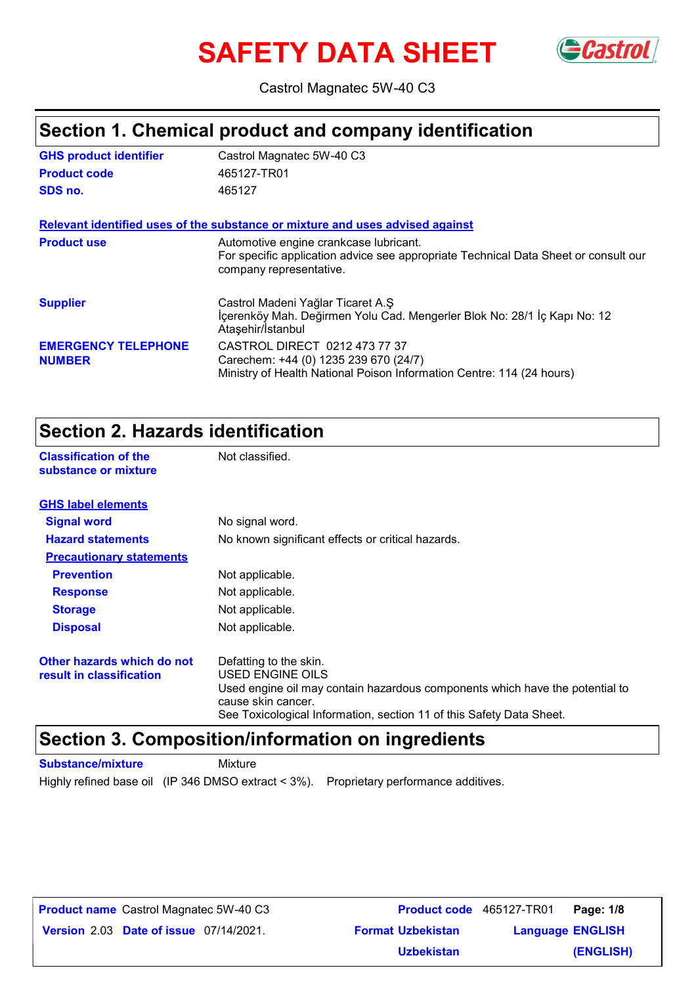# **SAFETY DATA SHEET**



Castrol Magnatec 5W-40 C3

### **Section 1. Chemical product and company identification**

| <b>GHS product identifier</b>               | Castrol Magnatec 5W-40 C3                                                                                                                                |
|---------------------------------------------|----------------------------------------------------------------------------------------------------------------------------------------------------------|
| <b>Product code</b>                         | 465127-TR01                                                                                                                                              |
| SDS no.                                     | 465127                                                                                                                                                   |
|                                             | Relevant identified uses of the substance or mixture and uses advised against                                                                            |
| <b>Product use</b>                          | Automotive engine crankcase lubricant.<br>For specific application advice see appropriate Technical Data Sheet or consult our<br>company representative. |
| <b>Supplier</b>                             | Castrol Madeni Yağlar Ticaret A.Ş<br>İçerenköy Mah. Değirmen Yolu Cad. Mengerler Blok No: 28/1 İç Kapı No: 12<br>Ataşehir/Istanbul                       |
| <b>EMERGENCY TELEPHONE</b><br><b>NUMBER</b> | CASTROL DIRECT 0212 473 77 37<br>Carechem: +44 (0) 1235 239 670 (24/7)<br>Ministry of Health National Poison Information Centre: 114 (24 hours)          |

### **Section 2. Hazards identification**

**Classification of the Mot classified. substance or mixture**

| <b>GHS label elements</b>                              |                                                                                                                                                                                                                          |
|--------------------------------------------------------|--------------------------------------------------------------------------------------------------------------------------------------------------------------------------------------------------------------------------|
| <b>Signal word</b>                                     | No signal word.                                                                                                                                                                                                          |
| <b>Hazard statements</b>                               | No known significant effects or critical hazards.                                                                                                                                                                        |
| <b>Precautionary statements</b>                        |                                                                                                                                                                                                                          |
| <b>Prevention</b>                                      | Not applicable.                                                                                                                                                                                                          |
| <b>Response</b>                                        | Not applicable.                                                                                                                                                                                                          |
| <b>Storage</b>                                         | Not applicable.                                                                                                                                                                                                          |
| <b>Disposal</b>                                        | Not applicable.                                                                                                                                                                                                          |
| Other hazards which do not<br>result in classification | Defatting to the skin.<br>USED ENGINE OILS<br>Used engine oil may contain hazardous components which have the potential to<br>cause skin cancer.<br>See Toxicological Information, section 11 of this Safety Data Sheet. |

### **Section 3. Composition/information on ingredients**

**Substance/mixture** Mixture

Highly refined base oil (IP 346 DMSO extract < 3%). Proprietary performance additives.

**Product name** Castrol Magnatec 5W-40 C3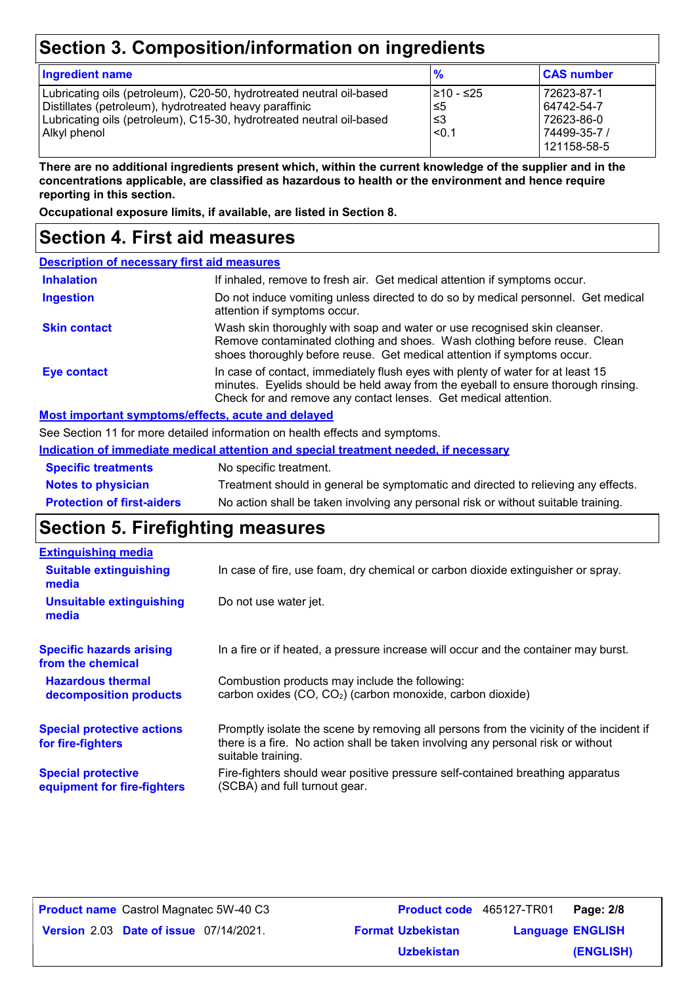# **Section 3. Composition/information on ingredients**

| <b>Ingredient name</b>                                                                                                                                                                                                 | $\frac{9}{6}$                     | <b>CAS number</b>                                                     |
|------------------------------------------------------------------------------------------------------------------------------------------------------------------------------------------------------------------------|-----------------------------------|-----------------------------------------------------------------------|
| Lubricating oils (petroleum), C20-50, hydrotreated neutral oil-based<br>Distillates (petroleum), hydrotreated heavy paraffinic<br>Lubricating oils (petroleum), C15-30, hydrotreated neutral oil-based<br>Alkyl phenol | I≥10 - ≤25<br>5≤ا<br>ا≤3<br>< 0.1 | 72623-87-1<br>64742-54-7<br>72623-86-0<br>74499-35-7 /<br>121158-58-5 |

**There are no additional ingredients present which, within the current knowledge of the supplier and in the concentrations applicable, are classified as hazardous to health or the environment and hence require reporting in this section.**

**Occupational exposure limits, if available, are listed in Section 8.**

### **Section 4. First aid measures**

| <b>Description of necessary first aid measures</b> |                                                                                                                                                                                                                                         |
|----------------------------------------------------|-----------------------------------------------------------------------------------------------------------------------------------------------------------------------------------------------------------------------------------------|
| <b>Inhalation</b>                                  | If inhaled, remove to fresh air. Get medical attention if symptoms occur.                                                                                                                                                               |
| <b>Ingestion</b>                                   | Do not induce vomiting unless directed to do so by medical personnel. Get medical<br>attention if symptoms occur.                                                                                                                       |
| <b>Skin contact</b>                                | Wash skin thoroughly with soap and water or use recognised skin cleanser.<br>Remove contaminated clothing and shoes. Wash clothing before reuse. Clean<br>shoes thoroughly before reuse. Get medical attention if symptoms occur.       |
| Eye contact                                        | In case of contact, immediately flush eyes with plenty of water for at least 15<br>minutes. Eyelids should be held away from the eyeball to ensure thorough rinsing.<br>Check for and remove any contact lenses. Get medical attention. |

#### **Most important symptoms/effects, acute and delayed**

See Section 11 for more detailed information on health effects and symptoms.

| Indication of immediate medical attention and special treatment needed, if necessary |  |
|--------------------------------------------------------------------------------------|--|
|--------------------------------------------------------------------------------------|--|

| <b>Specific treatments</b>        | No specific treatment.                                                             |
|-----------------------------------|------------------------------------------------------------------------------------|
| <b>Notes to physician</b>         | Treatment should in general be symptomatic and directed to relieving any effects.  |
| <b>Protection of first-aiders</b> | No action shall be taken involving any personal risk or without suitable training. |

### **Section 5. Firefighting measures**

| <b>Extinguishing media</b>                               |                                                                                                                                                                                                   |
|----------------------------------------------------------|---------------------------------------------------------------------------------------------------------------------------------------------------------------------------------------------------|
| <b>Suitable extinguishing</b><br>media                   | In case of fire, use foam, dry chemical or carbon dioxide extinguisher or spray.                                                                                                                  |
| <b>Unsuitable extinguishing</b><br>media                 | Do not use water jet.                                                                                                                                                                             |
| <b>Specific hazards arising</b><br>from the chemical     | In a fire or if heated, a pressure increase will occur and the container may burst.                                                                                                               |
| <b>Hazardous thermal</b><br>decomposition products       | Combustion products may include the following:<br>carbon oxides (CO, CO <sub>2</sub> ) (carbon monoxide, carbon dioxide)                                                                          |
| <b>Special protective actions</b><br>for fire-fighters   | Promptly isolate the scene by removing all persons from the vicinity of the incident if<br>there is a fire. No action shall be taken involving any personal risk or without<br>suitable training. |
| <b>Special protective</b><br>equipment for fire-fighters | Fire-fighters should wear positive pressure self-contained breathing apparatus<br>(SCBA) and full turnout gear.                                                                                   |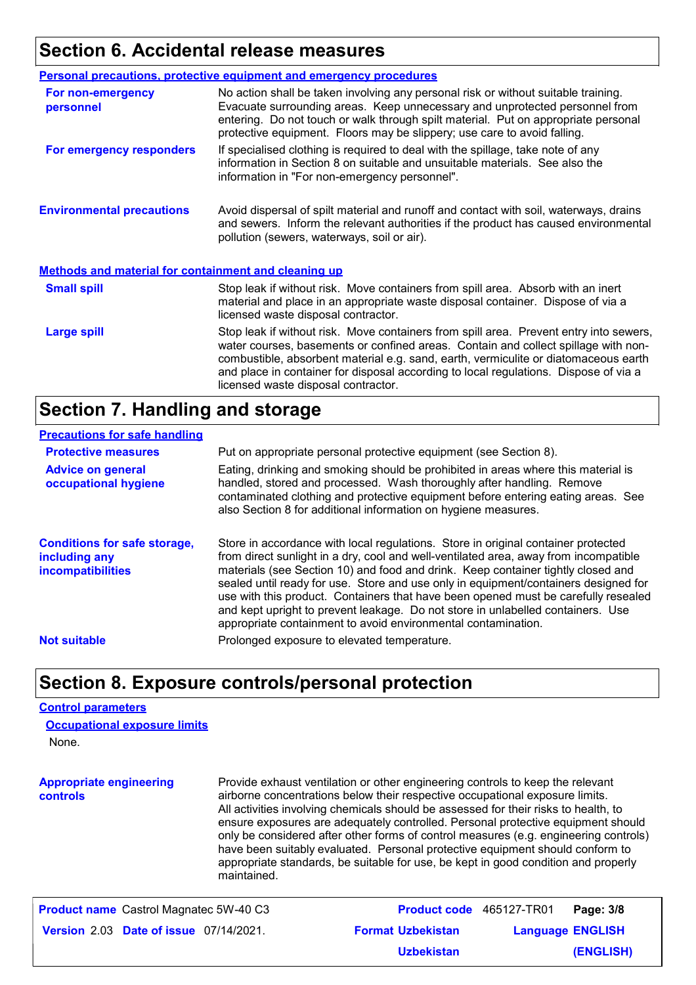# **Section 6. Accidental release measures**

|                                                             | <b>Personal precautions, protective equipment and emergency procedures</b>                                                                                                                                                                                                                                                                                                                         |
|-------------------------------------------------------------|----------------------------------------------------------------------------------------------------------------------------------------------------------------------------------------------------------------------------------------------------------------------------------------------------------------------------------------------------------------------------------------------------|
| For non-emergency<br>personnel                              | No action shall be taken involving any personal risk or without suitable training.<br>Evacuate surrounding areas. Keep unnecessary and unprotected personnel from<br>entering. Do not touch or walk through spilt material. Put on appropriate personal<br>protective equipment. Floors may be slippery; use care to avoid falling.                                                                |
| For emergency responders                                    | If specialised clothing is required to deal with the spillage, take note of any<br>information in Section 8 on suitable and unsuitable materials. See also the<br>information in "For non-emergency personnel".                                                                                                                                                                                    |
| <b>Environmental precautions</b>                            | Avoid dispersal of spilt material and runoff and contact with soil, waterways, drains<br>and sewers. Inform the relevant authorities if the product has caused environmental<br>pollution (sewers, waterways, soil or air).                                                                                                                                                                        |
| <b>Methods and material for containment and cleaning up</b> |                                                                                                                                                                                                                                                                                                                                                                                                    |
| <b>Small spill</b>                                          | Stop leak if without risk. Move containers from spill area. Absorb with an inert<br>material and place in an appropriate waste disposal container. Dispose of via a<br>licensed waste disposal contractor.                                                                                                                                                                                         |
| <b>Large spill</b>                                          | Stop leak if without risk. Move containers from spill area. Prevent entry into sewers,<br>water courses, basements or confined areas. Contain and collect spillage with non-<br>combustible, absorbent material e.g. sand, earth, vermiculite or diatomaceous earth<br>and place in container for disposal according to local regulations. Dispose of via a<br>licensed waste disposal contractor. |

### **Section 7. Handling and storage**

#### **Precautions for safe handling**

| <b>Protective measures</b>                                                       | Put on appropriate personal protective equipment (see Section 8).                                                                                                                                                                                                                                                                                                                                                                                                                                                                                                                              |
|----------------------------------------------------------------------------------|------------------------------------------------------------------------------------------------------------------------------------------------------------------------------------------------------------------------------------------------------------------------------------------------------------------------------------------------------------------------------------------------------------------------------------------------------------------------------------------------------------------------------------------------------------------------------------------------|
| <b>Advice on general</b><br>occupational hygiene                                 | Eating, drinking and smoking should be prohibited in areas where this material is<br>handled, stored and processed. Wash thoroughly after handling. Remove<br>contaminated clothing and protective equipment before entering eating areas. See<br>also Section 8 for additional information on hygiene measures.                                                                                                                                                                                                                                                                               |
| <b>Conditions for safe storage,</b><br>including any<br><b>incompatibilities</b> | Store in accordance with local regulations. Store in original container protected<br>from direct sunlight in a dry, cool and well-ventilated area, away from incompatible<br>materials (see Section 10) and food and drink. Keep container tightly closed and<br>sealed until ready for use. Store and use only in equipment/containers designed for<br>use with this product. Containers that have been opened must be carefully resealed<br>and kept upright to prevent leakage. Do not store in unlabelled containers. Use<br>appropriate containment to avoid environmental contamination. |
| <b>Not suitable</b>                                                              | Prolonged exposure to elevated temperature.                                                                                                                                                                                                                                                                                                                                                                                                                                                                                                                                                    |

### **Section 8. Exposure controls/personal protection**

#### **Control parameters**

| <b>Occupational exposure limits</b> |  |
|-------------------------------------|--|
| None.                               |  |

**Appropriate engineering controls** Provide exhaust ventilation or other engineering controls to keep the relevant airborne concentrations below their respective occupational exposure limits. All activities involving chemicals should be assessed for their risks to health, to ensure exposures are adequately controlled. Personal protective equipment should only be considered after other forms of control measures (e.g. engineering controls) have been suitably evaluated. Personal protective equipment should conform to appropriate standards, be suitable for use, be kept in good condition and properly maintained.

| <b>Product name</b> Castrol Magnatec 5W-40 C3 | <b>Product code</b> 465127-TR01 |                         | Page: 3/8 |
|-----------------------------------------------|---------------------------------|-------------------------|-----------|
| <b>Version 2.03 Date of issue 07/14/2021.</b> | <b>Format Uzbekistan</b>        | <b>Language ENGLISH</b> |           |
|                                               | <b>Uzbekistan</b>               |                         | (ENGLISH) |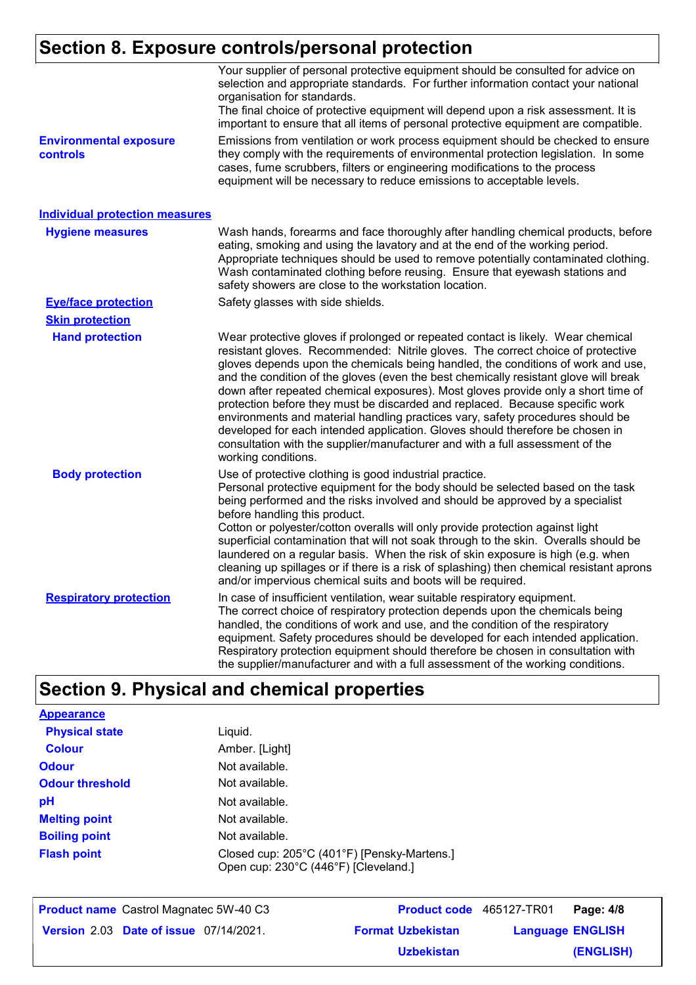# **Section 8. Exposure controls/personal protection**

|                                           | Your supplier of personal protective equipment should be consulted for advice on<br>selection and appropriate standards. For further information contact your national<br>organisation for standards.<br>The final choice of protective equipment will depend upon a risk assessment. It is<br>important to ensure that all items of personal protective equipment are compatible.                                                                                                                                                                                                                                                                                                                                                                                                              |
|-------------------------------------------|-------------------------------------------------------------------------------------------------------------------------------------------------------------------------------------------------------------------------------------------------------------------------------------------------------------------------------------------------------------------------------------------------------------------------------------------------------------------------------------------------------------------------------------------------------------------------------------------------------------------------------------------------------------------------------------------------------------------------------------------------------------------------------------------------|
| <b>Environmental exposure</b><br>controls | Emissions from ventilation or work process equipment should be checked to ensure<br>they comply with the requirements of environmental protection legislation. In some<br>cases, fume scrubbers, filters or engineering modifications to the process<br>equipment will be necessary to reduce emissions to acceptable levels.                                                                                                                                                                                                                                                                                                                                                                                                                                                                   |
| <b>Individual protection measures</b>     |                                                                                                                                                                                                                                                                                                                                                                                                                                                                                                                                                                                                                                                                                                                                                                                                 |
| <b>Hygiene measures</b>                   | Wash hands, forearms and face thoroughly after handling chemical products, before<br>eating, smoking and using the lavatory and at the end of the working period.<br>Appropriate techniques should be used to remove potentially contaminated clothing.<br>Wash contaminated clothing before reusing. Ensure that eyewash stations and<br>safety showers are close to the workstation location.                                                                                                                                                                                                                                                                                                                                                                                                 |
| <b>Eye/face protection</b>                | Safety glasses with side shields.                                                                                                                                                                                                                                                                                                                                                                                                                                                                                                                                                                                                                                                                                                                                                               |
| <b>Skin protection</b>                    |                                                                                                                                                                                                                                                                                                                                                                                                                                                                                                                                                                                                                                                                                                                                                                                                 |
| <b>Hand protection</b>                    | Wear protective gloves if prolonged or repeated contact is likely. Wear chemical<br>resistant gloves. Recommended: Nitrile gloves. The correct choice of protective<br>gloves depends upon the chemicals being handled, the conditions of work and use,<br>and the condition of the gloves (even the best chemically resistant glove will break<br>down after repeated chemical exposures). Most gloves provide only a short time of<br>protection before they must be discarded and replaced. Because specific work<br>environments and material handling practices vary, safety procedures should be<br>developed for each intended application. Gloves should therefore be chosen in<br>consultation with the supplier/manufacturer and with a full assessment of the<br>working conditions. |
| <b>Body protection</b>                    | Use of protective clothing is good industrial practice.<br>Personal protective equipment for the body should be selected based on the task<br>being performed and the risks involved and should be approved by a specialist<br>before handling this product.<br>Cotton or polyester/cotton overalls will only provide protection against light<br>superficial contamination that will not soak through to the skin. Overalls should be<br>laundered on a regular basis. When the risk of skin exposure is high (e.g. when<br>cleaning up spillages or if there is a risk of splashing) then chemical resistant aprons<br>and/or impervious chemical suits and boots will be required.                                                                                                           |
| <b>Respiratory protection</b>             | In case of insufficient ventilation, wear suitable respiratory equipment.<br>The correct choice of respiratory protection depends upon the chemicals being<br>handled, the conditions of work and use, and the condition of the respiratory<br>equipment. Safety procedures should be developed for each intended application.<br>Respiratory protection equipment should therefore be chosen in consultation with<br>the supplier/manufacturer and with a full assessment of the working conditions.                                                                                                                                                                                                                                                                                           |

# **Section 9. Physical and chemical properties**

| <b>Appearance</b>      |                                                                                     |
|------------------------|-------------------------------------------------------------------------------------|
| <b>Physical state</b>  | Liquid.                                                                             |
| <b>Colour</b>          | Amber. [Light]                                                                      |
| <b>Odour</b>           | Not available.                                                                      |
| <b>Odour threshold</b> | Not available.                                                                      |
| рH                     | Not available.                                                                      |
| <b>Melting point</b>   | Not available.                                                                      |
| <b>Boiling point</b>   | Not available.                                                                      |
| <b>Flash point</b>     | Closed cup: 205°C (401°F) [Pensky-Martens.]<br>Open cup: 230°C (446°F) [Cleveland.] |

| <b>Product name</b> Castrol Magnatec 5W-40 C3 | Product code 465127-TR01 |                         | Page: 4/8        |
|-----------------------------------------------|--------------------------|-------------------------|------------------|
| Version 2.03 Date of issue 07/14/2021.        | <b>Format Uzbekistan</b> | <b>Language ENGLISH</b> |                  |
|                                               | t talendain tena         |                         | <b>IFMOLIOUS</b> |

**(ENGLISH) Uzbekistan**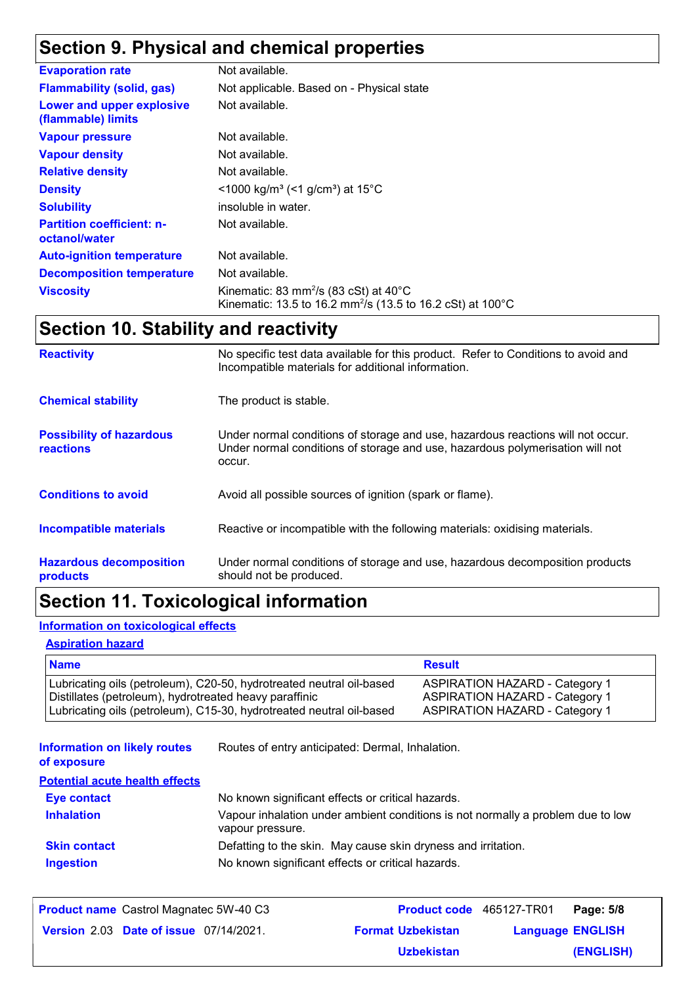# **Section 9. Physical and chemical properties**

| <b>Evaporation rate</b>                           | Not available.                                                                                                                                   |
|---------------------------------------------------|--------------------------------------------------------------------------------------------------------------------------------------------------|
| <b>Flammability (solid, gas)</b>                  | Not applicable. Based on - Physical state                                                                                                        |
| Lower and upper explosive<br>(flammable) limits   | Not available.                                                                                                                                   |
| <b>Vapour pressure</b>                            | Not available.                                                                                                                                   |
| <b>Vapour density</b>                             | Not available.                                                                                                                                   |
| <b>Relative density</b>                           | Not available.                                                                                                                                   |
| <b>Density</b>                                    | $\leq$ 1000 kg/m <sup>3</sup> (<1 g/cm <sup>3</sup> ) at 15 <sup>°</sup> C                                                                       |
| <b>Solubility</b>                                 | insoluble in water.                                                                                                                              |
| <b>Partition coefficient: n-</b><br>octanol/water | Not available.                                                                                                                                   |
| <b>Auto-ignition temperature</b>                  | Not available.                                                                                                                                   |
| <b>Decomposition temperature</b>                  | Not available.                                                                                                                                   |
| <b>Viscosity</b>                                  | Kinematic: 83 mm <sup>2</sup> /s (83 cSt) at $40^{\circ}$ C<br>Kinematic: 13.5 to 16.2 mm <sup>2</sup> /s (13.5 to 16.2 cSt) at 100 $^{\circ}$ C |

# **Section 10. Stability and reactivity**

| <b>Reactivity</b>                            | No specific test data available for this product. Refer to Conditions to avoid and<br>Incompatible materials for additional information.                                   |
|----------------------------------------------|----------------------------------------------------------------------------------------------------------------------------------------------------------------------------|
| <b>Chemical stability</b>                    | The product is stable.                                                                                                                                                     |
| <b>Possibility of hazardous</b><br>reactions | Under normal conditions of storage and use, hazardous reactions will not occur.<br>Under normal conditions of storage and use, hazardous polymerisation will not<br>occur. |
| <b>Conditions to avoid</b>                   | Avoid all possible sources of ignition (spark or flame).                                                                                                                   |
| Incompatible materials                       | Reactive or incompatible with the following materials: oxidising materials.                                                                                                |
| <b>Hazardous decomposition</b><br>products   | Under normal conditions of storage and use, hazardous decomposition products<br>should not be produced.                                                                    |

# **Section 11. Toxicological information**

### **Information on toxicological effects**

#### **Aspiration hazard**

| <b>Name</b>                                                          | <b>Result</b>                         |
|----------------------------------------------------------------------|---------------------------------------|
| Lubricating oils (petroleum), C20-50, hydrotreated neutral oil-based | <b>ASPIRATION HAZARD - Category 1</b> |
| Distillates (petroleum), hydrotreated heavy paraffinic               | <b>ASPIRATION HAZARD - Category 1</b> |
| Lubricating oils (petroleum), C15-30, hydrotreated neutral oil-based | <b>ASPIRATION HAZARD - Category 1</b> |

| <b>Information on likely routes</b> | Routes of entry anticipated: Dermal, Inhalation. |
|-------------------------------------|--------------------------------------------------|
|                                     |                                                  |

**of exposure**

| <b>Potential acute health effects</b> |                                                                                                     |
|---------------------------------------|-----------------------------------------------------------------------------------------------------|
| Eye contact                           | No known significant effects or critical hazards.                                                   |
| <b>Inhalation</b>                     | Vapour inhalation under ambient conditions is not normally a problem due to low<br>vapour pressure. |
| <b>Skin contact</b>                   | Defatting to the skin. May cause skin dryness and irritation.                                       |
| <b>Ingestion</b>                      | No known significant effects or critical hazards.                                                   |

| <b>Product name</b> Castrol Magnatec 5W-40 C3 | <b>Product code</b> 465127-TR01 |                         | Page: 5/8 |
|-----------------------------------------------|---------------------------------|-------------------------|-----------|
| <b>Version 2.03 Date of issue 07/14/2021.</b> | <b>Format Uzbekistan</b>        | <b>Language ENGLISH</b> |           |
|                                               | <b>Uzbekistan</b>               |                         | (ENGLISH) |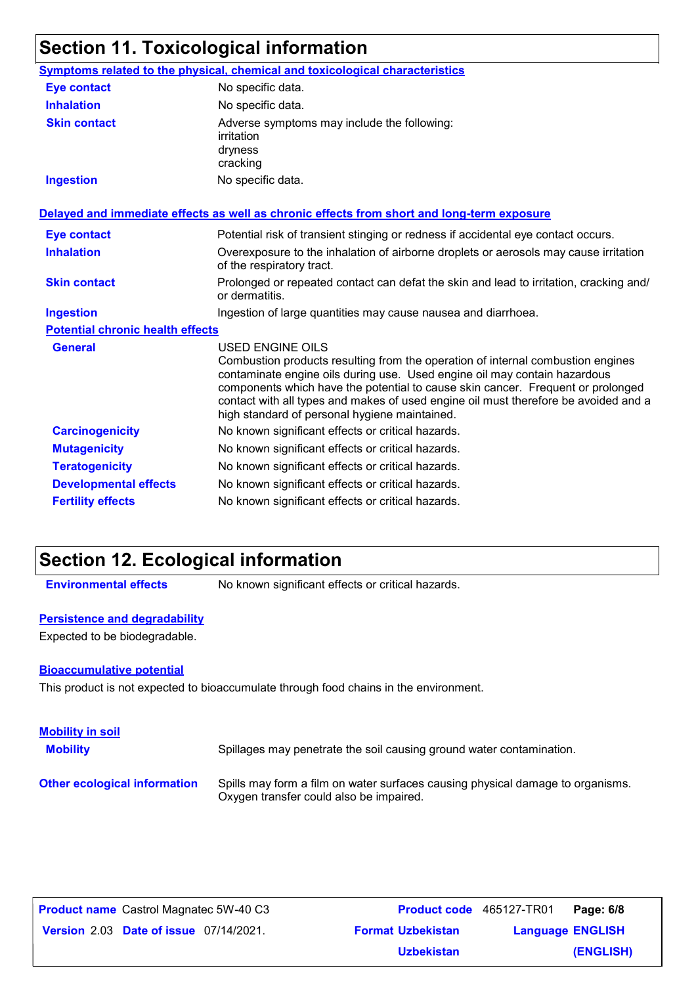# **Section 11. Toxicological information**

|                                         | Symptoms related to the physical, chemical and toxicological characteristics                                                                                                                                                                                                                                                                                                                                       |
|-----------------------------------------|--------------------------------------------------------------------------------------------------------------------------------------------------------------------------------------------------------------------------------------------------------------------------------------------------------------------------------------------------------------------------------------------------------------------|
| <b>Eye contact</b>                      | No specific data.                                                                                                                                                                                                                                                                                                                                                                                                  |
| <b>Inhalation</b>                       | No specific data.                                                                                                                                                                                                                                                                                                                                                                                                  |
| <b>Skin contact</b>                     | Adverse symptoms may include the following:<br>irritation<br>dryness<br>cracking                                                                                                                                                                                                                                                                                                                                   |
| <b>Ingestion</b>                        | No specific data.                                                                                                                                                                                                                                                                                                                                                                                                  |
|                                         | Delayed and immediate effects as well as chronic effects from short and long-term exposure                                                                                                                                                                                                                                                                                                                         |
| <b>Eye contact</b>                      | Potential risk of transient stinging or redness if accidental eye contact occurs.                                                                                                                                                                                                                                                                                                                                  |
| <b>Inhalation</b>                       | Overexposure to the inhalation of airborne droplets or aerosols may cause irritation<br>of the respiratory tract.                                                                                                                                                                                                                                                                                                  |
| <b>Skin contact</b>                     | Prolonged or repeated contact can defat the skin and lead to irritation, cracking and/<br>or dermatitis.                                                                                                                                                                                                                                                                                                           |
| <b>Ingestion</b>                        | Ingestion of large quantities may cause nausea and diarrhoea.                                                                                                                                                                                                                                                                                                                                                      |
| <b>Potential chronic health effects</b> |                                                                                                                                                                                                                                                                                                                                                                                                                    |
| <b>General</b>                          | <b>USED ENGINE OILS</b><br>Combustion products resulting from the operation of internal combustion engines<br>contaminate engine oils during use. Used engine oil may contain hazardous<br>components which have the potential to cause skin cancer. Frequent or prolonged<br>contact with all types and makes of used engine oil must therefore be avoided and a<br>high standard of personal hygiene maintained. |
| <b>Carcinogenicity</b>                  | No known significant effects or critical hazards.                                                                                                                                                                                                                                                                                                                                                                  |
| <b>Mutagenicity</b>                     | No known significant effects or critical hazards.                                                                                                                                                                                                                                                                                                                                                                  |
| <b>Teratogenicity</b>                   | No known significant effects or critical hazards.                                                                                                                                                                                                                                                                                                                                                                  |
| <b>Developmental effects</b>            | No known significant effects or critical hazards.                                                                                                                                                                                                                                                                                                                                                                  |
| <b>Fertility effects</b>                | No known significant effects or critical hazards.                                                                                                                                                                                                                                                                                                                                                                  |

# **Section 12. Ecological information**

**Environmental effects** No known significant effects or critical hazards.

#### **Persistence and degradability**

Expected to be biodegradable.

#### **Bioaccumulative potential**

This product is not expected to bioaccumulate through food chains in the environment.

| <b>Mobility in soil</b><br><b>Mobility</b> | Spillages may penetrate the soil causing ground water contamination.                                                      |
|--------------------------------------------|---------------------------------------------------------------------------------------------------------------------------|
| <b>Other ecological information</b>        | Spills may form a film on water surfaces causing physical damage to organisms.<br>Oxygen transfer could also be impaired. |

| <b>Product name</b> Castrol Magnatec 5W-40 C3 | <b>Product code</b> 465127-TR01 |                         | Page: 6/8 |
|-----------------------------------------------|---------------------------------|-------------------------|-----------|
| <b>Version 2.03 Date of issue 07/14/2021.</b> | <b>Format Uzbekistan</b>        | <b>Language ENGLISH</b> |           |
|                                               | <b>Uzbekistan</b>               |                         | (ENGLISH) |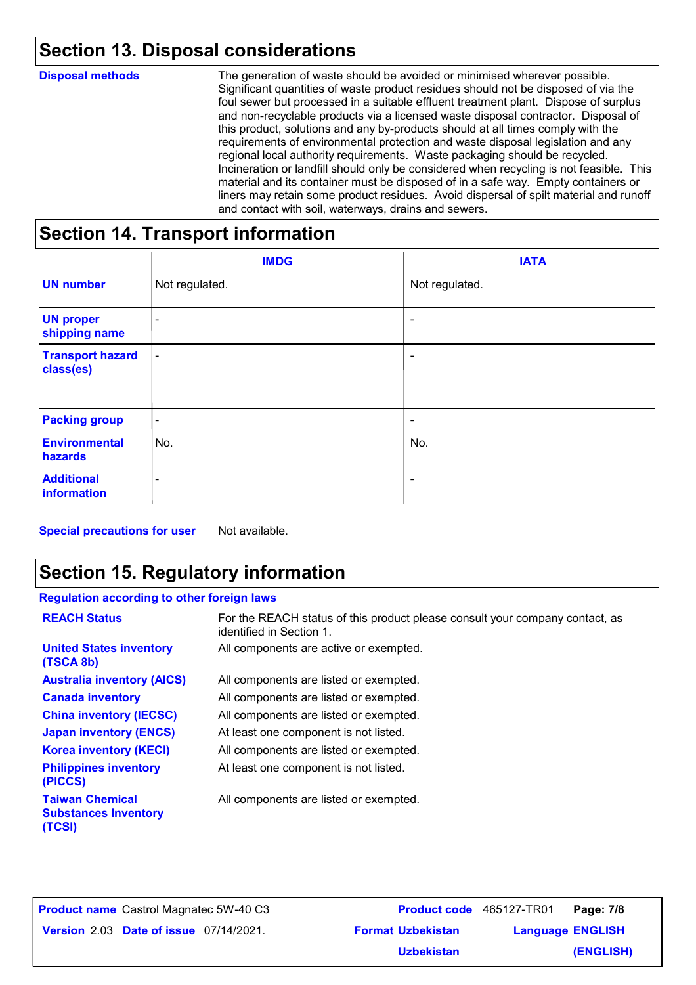# **Section 13. Disposal considerations**

| <b>Disposal methods</b> | The generation of waste should be avoided or minimised wherever possible.<br>Significant quantities of waste product residues should not be disposed of via the<br>foul sewer but processed in a suitable effluent treatment plant. Dispose of surplus<br>and non-recyclable products via a licensed waste disposal contractor. Disposal of<br>this product, solutions and any by-products should at all times comply with the<br>requirements of environmental protection and waste disposal legislation and any<br>regional local authority requirements. Waste packaging should be recycled.<br>Incineration or landfill should only be considered when recycling is not feasible. This<br>material and its container must be disposed of in a safe way. Empty containers or<br>liners may retain some product residues. Avoid dispersal of spilt material and runoff<br>and contact with soil, waterways, drains and sewers. |
|-------------------------|----------------------------------------------------------------------------------------------------------------------------------------------------------------------------------------------------------------------------------------------------------------------------------------------------------------------------------------------------------------------------------------------------------------------------------------------------------------------------------------------------------------------------------------------------------------------------------------------------------------------------------------------------------------------------------------------------------------------------------------------------------------------------------------------------------------------------------------------------------------------------------------------------------------------------------|
|                         |                                                                                                                                                                                                                                                                                                                                                                                                                                                                                                                                                                                                                                                                                                                                                                                                                                                                                                                                  |

### **Section 14. Transport information**

|                                      | <b>IMDG</b>              | <b>IATA</b>              |
|--------------------------------------|--------------------------|--------------------------|
| <b>UN number</b>                     | Not regulated.           | Not regulated.           |
| <b>UN proper</b><br>shipping name    | $\overline{\phantom{a}}$ | $\blacksquare$           |
| <b>Transport hazard</b><br>class(es) | $\blacksquare$           | ۰                        |
| <b>Packing group</b>                 | $\blacksquare$           | $\overline{\phantom{a}}$ |
| <b>Environmental</b><br>hazards      | No.                      | No.                      |
| <b>Additional</b><br>information     | -                        | -                        |

**Special precautions for user** Not available.

# **Section 15. Regulatory information**

#### **Regulation according to other foreign laws**

| <b>REACH Status</b>                                             | For the REACH status of this product please consult your company contact, as<br>identified in Section 1. |
|-----------------------------------------------------------------|----------------------------------------------------------------------------------------------------------|
| <b>United States inventory</b><br>(TSCA 8b)                     | All components are active or exempted.                                                                   |
| <b>Australia inventory (AICS)</b>                               | All components are listed or exempted.                                                                   |
| <b>Canada inventory</b>                                         | All components are listed or exempted.                                                                   |
| <b>China inventory (IECSC)</b>                                  | All components are listed or exempted.                                                                   |
| <b>Japan inventory (ENCS)</b>                                   | At least one component is not listed.                                                                    |
| <b>Korea inventory (KECI)</b>                                   | All components are listed or exempted.                                                                   |
| <b>Philippines inventory</b><br>(PICCS)                         | At least one component is not listed.                                                                    |
| <b>Taiwan Chemical</b><br><b>Substances Inventory</b><br>(TCSI) | All components are listed or exempted.                                                                   |